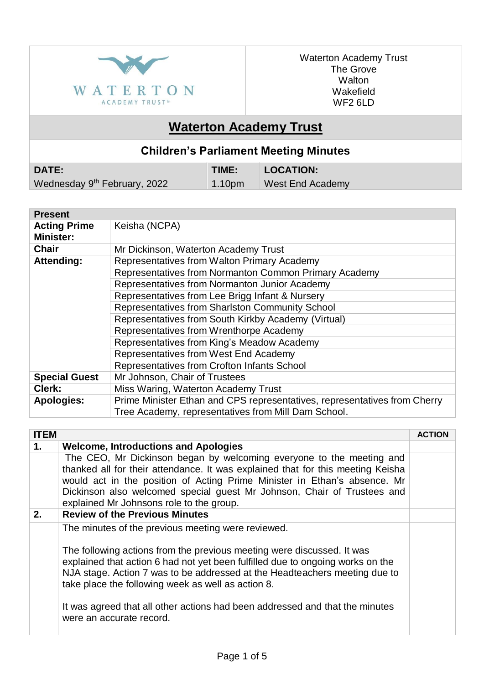

Waterton Academy Trust The Grove Walton Wakefield WF2 6LD

## **Waterton Academy Trust**

## **Children's Parliament Meeting Minutes**

| <b>DATE:</b>                             | <b>TIME:</b>   | LOCATION:        |
|------------------------------------------|----------------|------------------|
| Wednesday 9 <sup>th</sup> February, 2022 | $\vert$ 1.10pm | West End Academy |

| <b>Present</b>       |                                                                           |
|----------------------|---------------------------------------------------------------------------|
| <b>Acting Prime</b>  | Keisha (NCPA)                                                             |
| <b>Minister:</b>     |                                                                           |
| <b>Chair</b>         | Mr Dickinson, Waterton Academy Trust                                      |
| Attending:           | Representatives from Walton Primary Academy                               |
|                      | Representatives from Normanton Common Primary Academy                     |
|                      | Representatives from Normanton Junior Academy                             |
|                      | Representatives from Lee Brigg Infant & Nursery                           |
|                      | Representatives from Sharlston Community School                           |
|                      | Representatives from South Kirkby Academy (Virtual)                       |
|                      | Representatives from Wrenthorpe Academy                                   |
|                      | Representatives from King's Meadow Academy                                |
|                      | Representatives from West End Academy                                     |
|                      | Representatives from Crofton Infants School                               |
| <b>Special Guest</b> | Mr Johnson, Chair of Trustees                                             |
| Clerk:               | Miss Waring, Waterton Academy Trust                                       |
| <b>Apologies:</b>    | Prime Minister Ethan and CPS representatives, representatives from Cherry |
|                      | Tree Academy, representatives from Mill Dam School.                       |

| <b>ITEM</b> |                                                                                                                                                                                                                                                                                                                                                                                                                                                                | <b>ACTION</b> |
|-------------|----------------------------------------------------------------------------------------------------------------------------------------------------------------------------------------------------------------------------------------------------------------------------------------------------------------------------------------------------------------------------------------------------------------------------------------------------------------|---------------|
| 1.          | <b>Welcome, Introductions and Apologies</b>                                                                                                                                                                                                                                                                                                                                                                                                                    |               |
|             | The CEO, Mr Dickinson began by welcoming everyone to the meeting and<br>thanked all for their attendance. It was explained that for this meeting Keisha<br>would act in the position of Acting Prime Minister in Ethan's absence. Mr<br>Dickinson also welcomed special guest Mr Johnson, Chair of Trustees and<br>explained Mr Johnsons role to the group.                                                                                                    |               |
| 2.          | <b>Review of the Previous Minutes</b>                                                                                                                                                                                                                                                                                                                                                                                                                          |               |
|             | The minutes of the previous meeting were reviewed.<br>The following actions from the previous meeting were discussed. It was<br>explained that action 6 had not yet been fulfilled due to ongoing works on the<br>NJA stage. Action 7 was to be addressed at the Headteachers meeting due to<br>take place the following week as well as action 8.<br>It was agreed that all other actions had been addressed and that the minutes<br>were an accurate record. |               |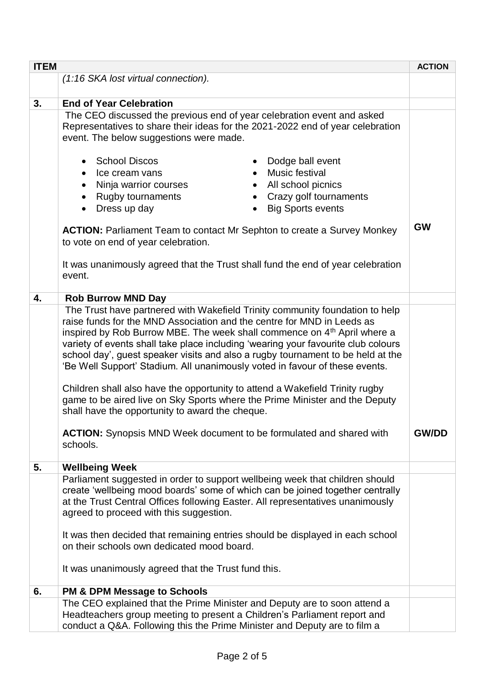| <b>ITEM</b> |                                                                                                                                                                                                                                                                                                                                                                                                                                                                                                                                                                                                                                                                                                                                                                                                                   | <b>ACTION</b> |
|-------------|-------------------------------------------------------------------------------------------------------------------------------------------------------------------------------------------------------------------------------------------------------------------------------------------------------------------------------------------------------------------------------------------------------------------------------------------------------------------------------------------------------------------------------------------------------------------------------------------------------------------------------------------------------------------------------------------------------------------------------------------------------------------------------------------------------------------|---------------|
|             | (1:16 SKA lost virtual connection).                                                                                                                                                                                                                                                                                                                                                                                                                                                                                                                                                                                                                                                                                                                                                                               |               |
| 3.          | <b>End of Year Celebration</b>                                                                                                                                                                                                                                                                                                                                                                                                                                                                                                                                                                                                                                                                                                                                                                                    |               |
|             | The CEO discussed the previous end of year celebration event and asked<br>Representatives to share their ideas for the 2021-2022 end of year celebration<br>event. The below suggestions were made.<br>• School Discos<br>Dodge ball event<br>Music festival<br>Ice cream vans<br>Ninja warrior courses<br>All school picnics<br>$\bullet$<br><b>Rugby tournaments</b><br>Crazy golf tournaments<br>Dress up day<br><b>Big Sports events</b><br>$\bullet$                                                                                                                                                                                                                                                                                                                                                         |               |
|             | <b>ACTION:</b> Parliament Team to contact Mr Sephton to create a Survey Monkey<br>to vote on end of year celebration.<br>It was unanimously agreed that the Trust shall fund the end of year celebration<br>event.                                                                                                                                                                                                                                                                                                                                                                                                                                                                                                                                                                                                | <b>GW</b>     |
| 4.          | <b>Rob Burrow MND Day</b>                                                                                                                                                                                                                                                                                                                                                                                                                                                                                                                                                                                                                                                                                                                                                                                         |               |
|             | The Trust have partnered with Wakefield Trinity community foundation to help<br>raise funds for the MND Association and the centre for MND in Leeds as<br>inspired by Rob Burrow MBE. The week shall commence on 4 <sup>th</sup> April where a<br>variety of events shall take place including 'wearing your favourite club colours<br>school day', guest speaker visits and also a rugby tournament to be held at the<br>'Be Well Support' Stadium. All unanimously voted in favour of these events.<br>Children shall also have the opportunity to attend a Wakefield Trinity rugby<br>game to be aired live on Sky Sports where the Prime Minister and the Deputy<br>shall have the opportunity to award the cheque.<br><b>ACTION:</b> Synopsis MND Week document to be formulated and shared with<br>schools. |               |
| 5.          | <b>Wellbeing Week</b>                                                                                                                                                                                                                                                                                                                                                                                                                                                                                                                                                                                                                                                                                                                                                                                             |               |
|             | Parliament suggested in order to support wellbeing week that children should<br>create 'wellbeing mood boards' some of which can be joined together centrally<br>at the Trust Central Offices following Easter. All representatives unanimously<br>agreed to proceed with this suggestion.<br>It was then decided that remaining entries should be displayed in each school<br>on their schools own dedicated mood board.<br>It was unanimously agreed that the Trust fund this.                                                                                                                                                                                                                                                                                                                                  |               |
| 6.          | <b>PM &amp; DPM Message to Schools</b>                                                                                                                                                                                                                                                                                                                                                                                                                                                                                                                                                                                                                                                                                                                                                                            |               |
|             | The CEO explained that the Prime Minister and Deputy are to soon attend a<br>Headteachers group meeting to present a Children's Parliament report and<br>conduct a Q&A. Following this the Prime Minister and Deputy are to film a                                                                                                                                                                                                                                                                                                                                                                                                                                                                                                                                                                                |               |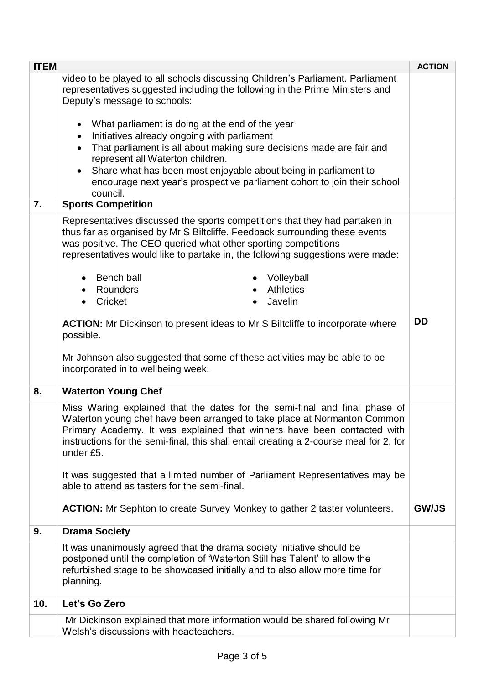| <b>ITEM</b> |                                                                                                                                                                                                                                                                                                                                          | <b>ACTION</b> |
|-------------|------------------------------------------------------------------------------------------------------------------------------------------------------------------------------------------------------------------------------------------------------------------------------------------------------------------------------------------|---------------|
|             | video to be played to all schools discussing Children's Parliament. Parliament<br>representatives suggested including the following in the Prime Ministers and<br>Deputy's message to schools:                                                                                                                                           |               |
|             | What parliament is doing at the end of the year<br>$\bullet$                                                                                                                                                                                                                                                                             |               |
|             | Initiatives already ongoing with parliament<br>That parliament is all about making sure decisions made are fair and<br>$\bullet$                                                                                                                                                                                                         |               |
|             | represent all Waterton children.<br>Share what has been most enjoyable about being in parliament to<br>$\bullet$                                                                                                                                                                                                                         |               |
|             | encourage next year's prospective parliament cohort to join their school<br>council.                                                                                                                                                                                                                                                     |               |
| 7.          | <b>Sports Competition</b>                                                                                                                                                                                                                                                                                                                |               |
|             | Representatives discussed the sports competitions that they had partaken in<br>thus far as organised by Mr S Biltcliffe. Feedback surrounding these events<br>was positive. The CEO queried what other sporting competitions<br>representatives would like to partake in, the following suggestions were made:                           |               |
|             | <b>Bench ball</b><br>Volleyball                                                                                                                                                                                                                                                                                                          |               |
|             | <b>Athletics</b><br>• Rounders                                                                                                                                                                                                                                                                                                           |               |
|             | Cricket<br>Javelin                                                                                                                                                                                                                                                                                                                       |               |
|             | <b>ACTION:</b> Mr Dickinson to present ideas to Mr S Biltcliffe to incorporate where<br>possible.                                                                                                                                                                                                                                        | <b>DD</b>     |
|             | Mr Johnson also suggested that some of these activities may be able to be<br>incorporated in to wellbeing week.                                                                                                                                                                                                                          |               |
| 8.          | <b>Waterton Young Chef</b>                                                                                                                                                                                                                                                                                                               |               |
|             | Miss Waring explained that the dates for the semi-final and final phase of<br>Waterton young chef have been arranged to take place at Normanton Common<br>Primary Academy. It was explained that winners have been contacted with<br>instructions for the semi-final, this shall entail creating a 2-course meal for 2, for<br>under £5. |               |
|             | It was suggested that a limited number of Parliament Representatives may be<br>able to attend as tasters for the semi-final.                                                                                                                                                                                                             |               |
|             | <b>ACTION:</b> Mr Sephton to create Survey Monkey to gather 2 taster volunteers.                                                                                                                                                                                                                                                         | <b>GW/JS</b>  |
| 9.          | <b>Drama Society</b>                                                                                                                                                                                                                                                                                                                     |               |
|             | It was unanimously agreed that the drama society initiative should be<br>postponed until the completion of 'Waterton Still has Talent' to allow the<br>refurbished stage to be showcased initially and to also allow more time for<br>planning.                                                                                          |               |
| 10.         | Let's Go Zero                                                                                                                                                                                                                                                                                                                            |               |
|             | Mr Dickinson explained that more information would be shared following Mr<br>Welsh's discussions with headteachers.                                                                                                                                                                                                                      |               |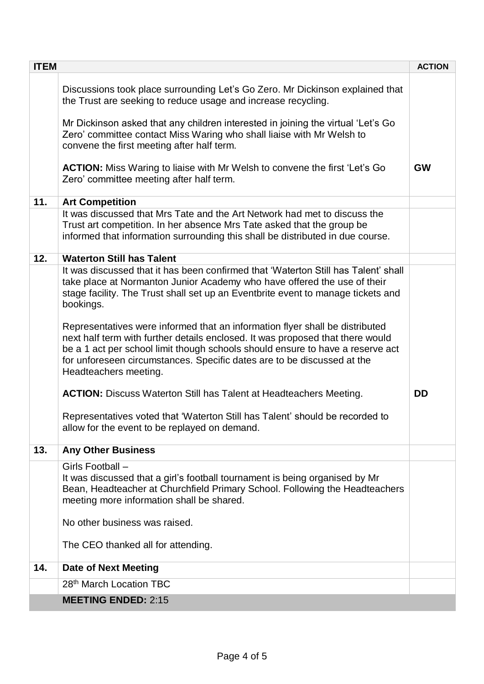| <b>ITEM</b>                                                                                                                                                                                                                                                                                                                                                                                                                                                                                                                                                                                                                                                                                          | <b>ACTION</b> |
|------------------------------------------------------------------------------------------------------------------------------------------------------------------------------------------------------------------------------------------------------------------------------------------------------------------------------------------------------------------------------------------------------------------------------------------------------------------------------------------------------------------------------------------------------------------------------------------------------------------------------------------------------------------------------------------------------|---------------|
| Discussions took place surrounding Let's Go Zero. Mr Dickinson explained that<br>the Trust are seeking to reduce usage and increase recycling.<br>Mr Dickinson asked that any children interested in joining the virtual 'Let's Go<br>Zero' committee contact Miss Waring who shall liaise with Mr Welsh to<br>convene the first meeting after half term.                                                                                                                                                                                                                                                                                                                                            |               |
| <b>ACTION:</b> Miss Waring to liaise with Mr Welsh to convene the first 'Let's Go<br>Zero' committee meeting after half term.                                                                                                                                                                                                                                                                                                                                                                                                                                                                                                                                                                        | <b>GW</b>     |
| 11.<br><b>Art Competition</b>                                                                                                                                                                                                                                                                                                                                                                                                                                                                                                                                                                                                                                                                        |               |
| It was discussed that Mrs Tate and the Art Network had met to discuss the<br>Trust art competition. In her absence Mrs Tate asked that the group be<br>informed that information surrounding this shall be distributed in due course.                                                                                                                                                                                                                                                                                                                                                                                                                                                                |               |
| 12.<br><b>Waterton Still has Talent</b>                                                                                                                                                                                                                                                                                                                                                                                                                                                                                                                                                                                                                                                              |               |
| It was discussed that it has been confirmed that 'Waterton Still has Talent' shall<br>take place at Normanton Junior Academy who have offered the use of their<br>stage facility. The Trust shall set up an Eventbrite event to manage tickets and<br>bookings.<br>Representatives were informed that an information flyer shall be distributed<br>next half term with further details enclosed. It was proposed that there would<br>be a 1 act per school limit though schools should ensure to have a reserve act<br>for unforeseen circumstances. Specific dates are to be discussed at the<br>Headteachers meeting.<br><b>ACTION:</b> Discuss Waterton Still has Talent at Headteachers Meeting. | <b>DD</b>     |
| Representatives voted that 'Waterton Still has Talent' should be recorded to<br>allow for the event to be replayed on demand.                                                                                                                                                                                                                                                                                                                                                                                                                                                                                                                                                                        |               |
| 13.<br><b>Any Other Business</b>                                                                                                                                                                                                                                                                                                                                                                                                                                                                                                                                                                                                                                                                     |               |
| Girls Football -<br>It was discussed that a girl's football tournament is being organised by Mr<br>Bean, Headteacher at Churchfield Primary School. Following the Headteachers<br>meeting more information shall be shared.<br>No other business was raised.<br>The CEO thanked all for attending.                                                                                                                                                                                                                                                                                                                                                                                                   |               |
| <b>Date of Next Meeting</b><br>14.                                                                                                                                                                                                                                                                                                                                                                                                                                                                                                                                                                                                                                                                   |               |
| 28 <sup>th</sup> March Location TBC                                                                                                                                                                                                                                                                                                                                                                                                                                                                                                                                                                                                                                                                  |               |
| <b>MEETING ENDED: 2:15</b>                                                                                                                                                                                                                                                                                                                                                                                                                                                                                                                                                                                                                                                                           |               |